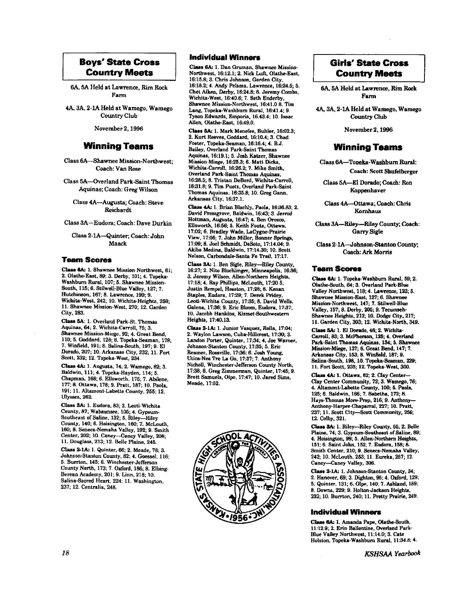#### **Boys' State Cross Country Meets**

6A, 5A Held at Lawrence, Rim Rock Farm

4A, 3A, 2-1A Held at Wamego, Wamego Country Club

November 2, 1996

#### **Winning Teams**

Class 6A-Shawnee Mission-Northwest: Coach: Van Rose

Class 5A-Overland Park-Saint Thomas Aquinas; Coach: Greg Wilson

Class 4A-Augusta; Coach; Steve Reichardt.

Class 3A-Eudora; Coach: Dave Durkin

Class 2-1A-Quinter; Coach: John Maack

#### **Team Scores**

Class 6A: 1. Shawnee Mission-Northwest, 61; 2. Olathe-East, 89; 3. Derby, 101; 4. Topeka-Washburn Rural, 107; 5. Shawnee Mission-South, 115; 6. Stilwell-Blue Valley, 127; 7. Hutchinson, 167; 8. Lawrence, 199; 9. Wichita-West, 242; 10. Wichita-Heights, 259; 11. Shawnee Mission-West, 270; 12. Garden City, 283.

Class 5A: 1. Overland Park-St. Thomas Aquinas, 64; 2. Wichita-Carroll, 75; 3. Shawnee Mission-Miege, 92; 4. Great Bend, 110; 5. Goddard, 128; 6. Topeka-Seaman, 178; 7. Winfield, 191; 8. Salina-South, 197; 9. El Dorado, 207; 10. Arkansas City, 232; 11. Fort Scott, 232; 12. Topeka-West, 234.

Class 4A: 1. Augusta, 74; 2. Wamego, 82; 3. Baldwin, 111; 4. Topeka-Hayden, 114; 5. Chapman. 168: 6. Ellsworth. 175: 7. Abilene, 177; 8. Ottawa, 178; 9. Pratt, 187; 10. Paola, 191; 11. Altamont-Labette County, 255; 12. Ulysses, 262.

Class 3A: 1. Eudora, 83; 2. Leoti-Wichita County, 87; Wabaunsee, 105; 4. Gypsum-Southeast of Saline, 132; 5. Riley—Riley<br>County, 140; 6. Hoisington, 160; 7. McLouth, 160; 8. Seneca-Nemaha Valley, 192; 9. Smith Center, 202; 10. Caney-Caney Valley, 208; 11. Douglass, 213; 12. Belle Plaine, 245.

Class 2-1A: 1. Quinter, 66; 2. Meade, 78; 3. Johnson-Stanton County, 82; 4. Goessel, 116; 5. Burrton, 145; 6. Winchester-Jefferson County North, 173; 7. Oxford, 186; 8. Elbing-Berean Academy, 201; 9. Linn, 218; 10. Salina-Sacred Heart, 224; 11. Washington, 237; 12. Centralia, 248.

#### **Individual Winners**

Class 6A: 1. Dan Gruman, Shawnee Mission-Northwest, 16:12.1: 2. Nick Luft, Olathe-East. 16:15.8; 3. Chris Johnson, Garden City, 16:18.2; 4. Andy Pelsma, Lawrence, 16:24.5; 5. Chet Aiken, Derby, 16:24.8; 6. Jeremy Combs, Wichita-West, 16:40.6; 7. Seth Enderby, Shawnee Mission-Northwest, 16:41.0 8. Tim Lang, Topeka-Washburn Rural, 16:41.4; 9. Tyson Edwards, Emporia, 16.43.4; 10. Isaac Allen, Olathe-East, 16:49.0.

Class 5A: 1. Mark Menefee, Buhler, 16:02.3; 2. Kurt Reeves, Goddard, 16:10.4; 3. Chad Foster, Topeka-Seaman, 16:16.4; 4. B.J. Bailey, Overland Park-Saint Thomas Aquinas, 16:19.1; 5. Josh Katzer, Shawnee Mission-Miege, 16:25.3; 6. Matt Dicks, Wichita-Carroll, 16:26.2; 7. Mike Smith, Overland Park-Saint Thomas Aquinas, 16:28.5; 8. Tristan DeBord, Wichita-Carroll, 16:31.8; 9. Tim Puetz, Overland Park-Saint Thomas Aquinas, 16:35.8; 10. Greg Gann, Arkansas City, 16:37.1.

Class 4A: 1. Brian Blachly, Paola, 16:36.83; 2. David Pressgrove, Baldwin, 16:43; 3. Jerrod Hottman, Augusta, 16:47; 4. Ben Orozco, Ellsworth, 16:56; 5. Keith Fouts, Ottawa,<br>17:02; 6. Bradley Wade, LaCygne-Prairie View, 17:05; 7. John Miller, Bonner Springs, 17:09; 8. Joel Schmidt, DeSoto, 17:14.04; 9. Akiba Medina, Baldwin, 17:14.30; 10. Scott Nelson, Carbondale-Santa Fe Trail, 17:17.

Class 3A: 1. Ben Sigle, Riley-Riley County, 16:27; 2. Nito Blochlinger, Minneapolis, 16:36; 3. Jeremy Wilson, Allen-Northern Heights, 17:18; 4. Ray Phillips, McLouth, 17:20 5. Justin Rempel, Hesston, 17:28; 6. Kenan Staples, Eudora, 17:29; 7. Derek Pridey, Leoti-Wichita County, 17:35; 8. David Wells, Galena. 17:36: 9. Eric Bloom, Eudora. 17:37: 10. Jacobh Hankins, Kismet-Southwestern Heights, 17:40.13.

Class 2-1A: 1. Junior Vasquez, Rolla, 17:04; 2. Waylon Lawson, Cuba-Hillcrest, 17:30; 3. Landon Porter, Quinter, 17:34; 4. Joe Warner, Johnson-Stanton County, 17:35; 5. Eric Reamer, Rossville, 17:36; 6. Josh Young, Utica-Nes Tre La Go, 17:37; 7. Anthony Nicholl, Winchester-Jefferson County North, 17:38; 8. Greg Zimmerman, Quinter, 17:45; 9. Brett Samuels, Olpe, 17:47; 10. Jared Sims, Meade, 17:52.



## **Girls' State Cross Country Meets**

6A, 5A Held at Lawrence, Rim Rock Farm

4A, 3A, 2-1A Held at Wamego, Wamego **Country Club** 

November 2, 1996

#### **Winning Teams**

Class 6A-Topeka-Washburn Rural: **Coach: Scott Shufelberger** 

Class 5A-El Dorado; Coach: Ron Koppenhaver

Class 4A-Ottawa; Coach: Chris Kornhaus

Class 3A-Riley-Riley County; Coach: Garry Sigle

Class 2-1A-Johnson-Stanton County; Coach: Ark Morris

#### **Team Scores**

Class 6A: 1. Topeka-Washburn Rural, 59; 2. Olathe-South, 64; 3. Overland Park-Blue Valley Northwest, 118; 4. Lawrence, 123; 5. Shawnee Mission-East, 127: 6. Shawnee Mission-Northwest, 147; 7. Stilwell-Blue Valley, 157; 8. Derby, 205; 9. Tecumseh-Shawnee Heights, 212; 10. Dodge City, 217; 11. Garden City, 303; 12. Wichita-North, 349.

Class 5A: 1. El Dorado, 46; 2. Wichita-Carroll, 83; 3. McPherson, 125; 4. Overland Park-Saint Thomas Aquinas, 134; 5. Shawnee Mission-Miege, 137; 6. Great Bend, 147; 7. Arkansas City, 153; 8. Winfield, 187; 9. Salina-South, 198, 10. Topeka-Seaman, 229; 11. Fort Scott, 235; 12. Topeka-West, 300.

Class 4A: 1. Ottawa, 62; 2. Clay Center-Clay Center Community, 72; 3. Wamego, 76; 4. Altamont-Labette County, 100; 5. Paola, 125; 6. Baldwin, 166; 7. Sabetha, 172; 8. Hays-Thomas More-Prep, 216; 9. Anthony-Anthony-Harper-Chaparral, 227; 10. Pratt, 237; 11. Scott City-Scott Community, 256; 12. Colby, 321.

Class 3A: 1. Riley--Riley County, 55; 2. Belle Plaine, 74; 3. Gypsum-Southeast of Saline, 89; 4. Hoisington, 99; 5. Allen-Northern Heights, 151; 6. Saint John, 152; 7. Eudora, 158; 8. Smith Center, 210; 9. Seneca-Nemaha Valley, 242; 10. McLouth, 253; 11. Eureka, 257; 12. Caney-Caney Valley, 306.

Class 2-1A: 1. Johnson-Stanton County, 34; 2. Hanover, 69; 3. Dighton, 95; 4. Oxford, 129; 5. Quinter, 131; 6. Olpe, 140; 7. Ashland, 189: 8. Downs, 229; 9. Holton-Jackson Heights, 232; 10. Burrton, 240; 11. Pretty Prairie, 249.

#### **Individual Winners**

Class 6A: 1. Amanda Pape, Olathe-South, 11:12.9; 2. Erin Ballentine, Overland Park-Blue Valley Northwest, 11:14.0; 3. Cate Holston, Topeka-Washburn Rural, 11:34.8; 4.

**KSHSAA Yearbook**